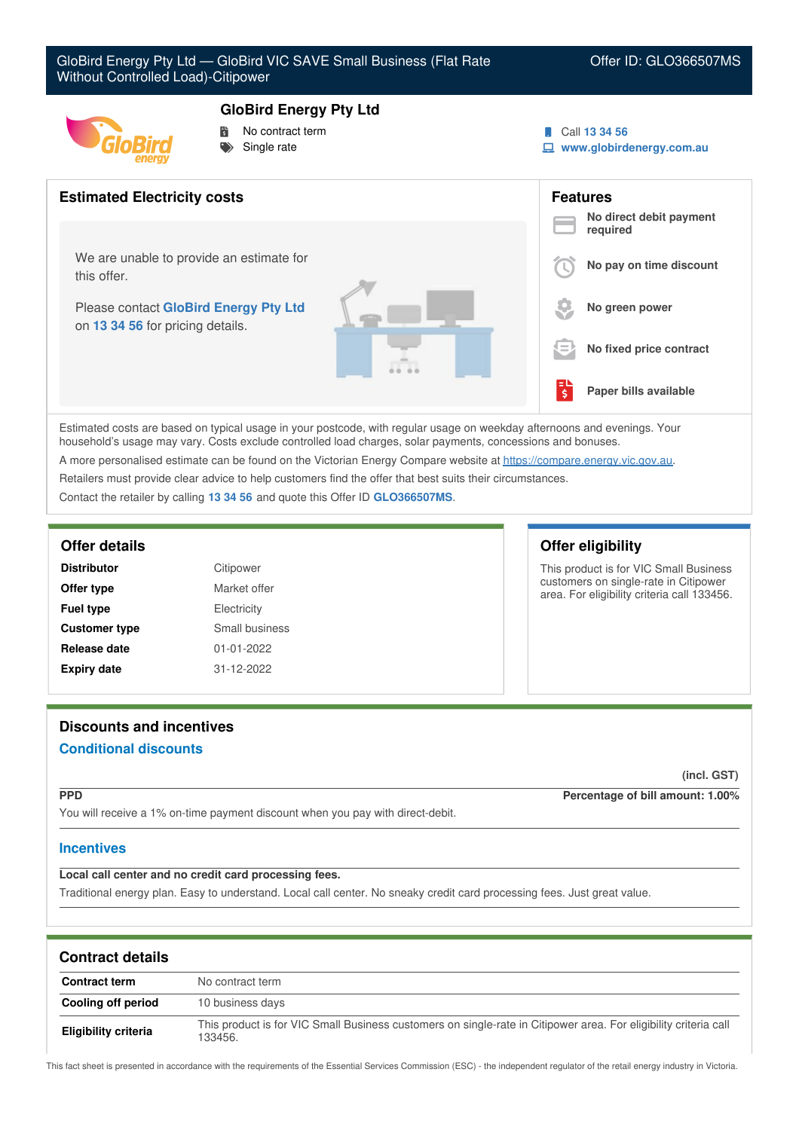

### **GloBird Energy Pty Ltd**

 No contract term Single rate

- Call **13 34 56**
- **www.globirdenergy.com.au**



Estimated costs are based on typical usage in your postcode, with regular usage on weekday afternoons and evenings. Your household's usage may vary. Costs exclude controlled load charges, solar payments, concessions and bonuses. A more personalised estimate can be found on the Victorian Energy Compare website at <https://compare.energy.vic.gov.au>.

Retailers must provide clear advice to help customers find the offer that best suits their circumstances.

Contact the retailer by calling **13 34 56** and quote this Offer ID **GLO366507MS**.

| <b>Distributor</b>   | Citipower        |
|----------------------|------------------|
| Offer type           | Market offer     |
| <b>Fuel type</b>     | Electricity      |
| <b>Customer type</b> | Small business   |
| Release date         | $01 - 01 - 2022$ |
| <b>Expiry date</b>   | 31-12-2022       |

## **Offer details Offer eligibility**

This product is for VIC Small Business customers on single-rate in Citipower area. For eligibility criteria call 133456.

# **Discounts and incentives Conditional discounts**

**(incl. GST)**

**PPD Percentage of bill amount: 1.00%**

You will receive a 1% on-time payment discount when you pay with direct-debit.

# **Incentives**

# **Local call center and no credit card processing fees.**

Traditional energy plan. Easy to understand. Local call center. No sneaky credit card processing fees. Just great value.

| <b>Contract details</b>     |                                                                                                                             |
|-----------------------------|-----------------------------------------------------------------------------------------------------------------------------|
| <b>Contract term</b>        | No contract term                                                                                                            |
| Cooling off period          | 10 business days                                                                                                            |
| <b>Eligibility criteria</b> | This product is for VIC Small Business customers on single-rate in Citipower area. For eligibility criteria call<br>133456. |

This fact sheet is presented in accordance with the requirements of the Essential Services Commission (ESC) - the independent regulator of the retail energy industry in Victoria.